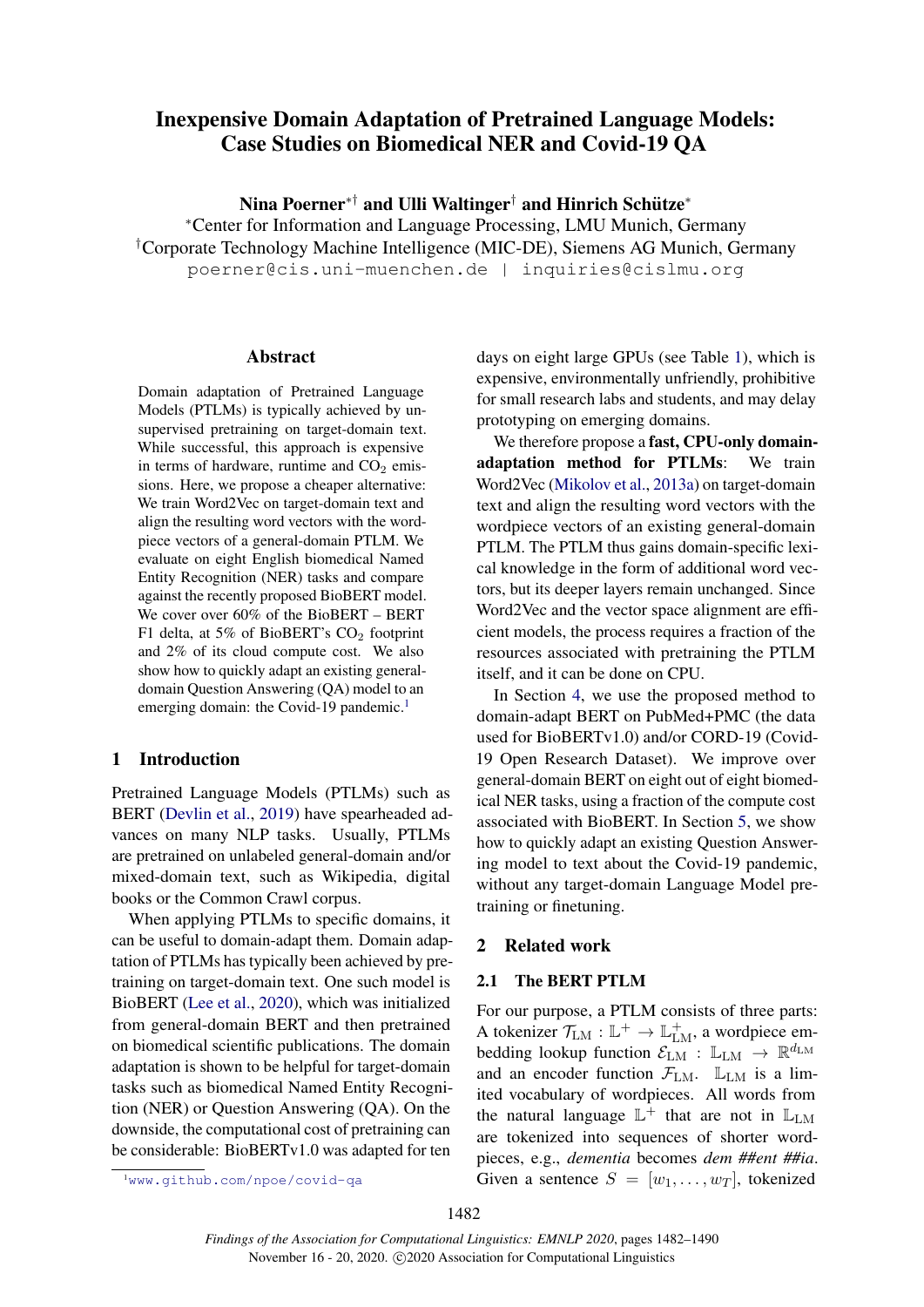# <span id="page-0-2"></span>Inexpensive Domain Adaptation of Pretrained Language Models: Case Studies on Biomedical NER and Covid-19 QA

Nina Poerner\*† and Ulli Waltinger† and Hinrich Schütze\*

<sup>∗</sup>Center for Information and Language Processing, LMU Munich, Germany †Corporate Technology Machine Intelligence (MIC-DE), Siemens AG Munich, Germany poerner@cis.uni-muenchen.de | inquiries@cislmu.org

#### Abstract

Domain adaptation of Pretrained Language Models (PTLMs) is typically achieved by unsupervised pretraining on target-domain text. While successful, this approach is expensive in terms of hardware, runtime and  $CO<sub>2</sub>$  emissions. Here, we propose a cheaper alternative: We train Word2Vec on target-domain text and align the resulting word vectors with the wordpiece vectors of a general-domain PTLM. We evaluate on eight English biomedical Named Entity Recognition (NER) tasks and compare against the recently proposed BioBERT model. We cover over 60% of the BioBERT – BERT F1 delta, at 5% of BioBERT's CO<sub>2</sub> footprint and 2% of its cloud compute cost. We also show how to quickly adapt an existing generaldomain Question Answering (QA) model to an emerging domain: the Covid-[1](#page-0-0)9 pandemic.<sup>1</sup>

# 1 Introduction

Pretrained Language Models (PTLMs) such as BERT [\(Devlin et al.,](#page-4-0) [2019\)](#page-4-0) have spearheaded advances on many NLP tasks. Usually, PTLMs are pretrained on unlabeled general-domain and/or mixed-domain text, such as Wikipedia, digital books or the Common Crawl corpus.

When applying PTLMs to specific domains, it can be useful to domain-adapt them. Domain adaptation of PTLMs has typically been achieved by pretraining on target-domain text. One such model is BioBERT [\(Lee et al.,](#page-5-0) [2020\)](#page-5-0), which was initialized from general-domain BERT and then pretrained on biomedical scientific publications. The domain adaptation is shown to be helpful for target-domain tasks such as biomedical Named Entity Recognition (NER) or Question Answering (QA). On the downside, the computational cost of pretraining can be considerable: BioBERTv1.0 was adapted for ten

days on eight large GPUs (see Table [1\)](#page-1-0), which is expensive, environmentally unfriendly, prohibitive for small research labs and students, and may delay prototyping on emerging domains.

We therefore propose a fast, CPU-only domainadaptation method for PTLMs: We train Word2Vec [\(Mikolov et al.,](#page-5-1) [2013a\)](#page-5-1) on target-domain text and align the resulting word vectors with the wordpiece vectors of an existing general-domain PTLM. The PTLM thus gains domain-specific lexical knowledge in the form of additional word vectors, but its deeper layers remain unchanged. Since Word2Vec and the vector space alignment are efficient models, the process requires a fraction of the resources associated with pretraining the PTLM itself, and it can be done on CPU.

In Section [4,](#page-2-0) we use the proposed method to domain-adapt BERT on PubMed+PMC (the data used for BioBERTv1.0) and/or CORD-19 (Covid-19 Open Research Dataset). We improve over general-domain BERT on eight out of eight biomedical NER tasks, using a fraction of the compute cost associated with BioBERT. In Section [5,](#page-3-0) we show how to quickly adapt an existing Question Answering model to text about the Covid-19 pandemic, without any target-domain Language Model pretraining or finetuning.

## 2 Related work

# <span id="page-0-1"></span>2.1 The BERT PTLM

For our purpose, a PTLM consists of three parts: A tokenizer  $\mathcal{T}_{LM} : \mathbb{L}^+ \to \mathbb{L}^+_{LM}$ , a wordpiece embedding lookup function  $\mathcal{E}_{LM}$  :  $\mathbb{L}_{LM} \rightarrow \mathbb{R}^{d_{LM}}$ and an encoder function  $\mathcal{F}_{LM}$ .  $\mathbb{L}_{LM}$  is a limited vocabulary of wordpieces. All words from the natural language  $\mathbb{L}^+$  that are not in  $\mathbb{L}_{LM}$ are tokenized into sequences of shorter wordpieces, e.g., *dementia* becomes *dem ##ent ##ia*. Given a sentence  $S = [w_1, \dots, w_T]$ , tokenized

<span id="page-0-0"></span><sup>1</sup><www.github.com/npoe/covid-qa>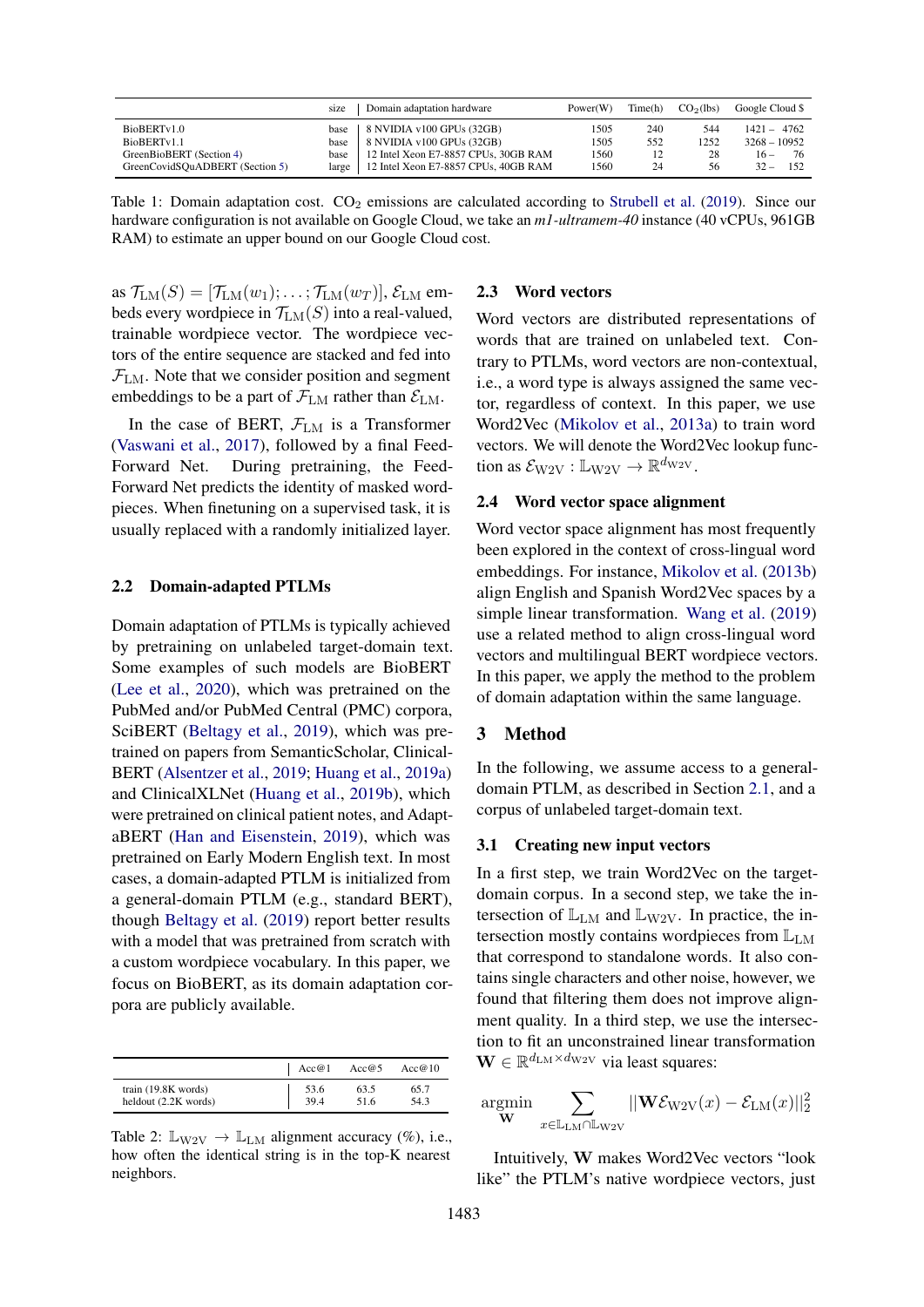<span id="page-1-0"></span>

|                                 | size               | Domain adaptation hardware           | Power(W) | Time(h) | CO <sub>2</sub> (1bs) | Google Cloud \$ |
|---------------------------------|--------------------|--------------------------------------|----------|---------|-----------------------|-----------------|
| BioBERTv1.0                     | base               | 8 NVIDIA v100 GPUs (32GB)            | 1505     | 240     | 544                   | $1421 - 4762$   |
| BioBERTy1.1                     | base               | 8 NVIDIA v100 GPUs (32GB)            | 1505     | 552     | 1252                  | $3268 - 10952$  |
| GreenBioBERT (Section 4)        | base               | 12 Intel Xeon E7-8857 CPUs, 30GB RAM | 1560     |         | 28                    | 76<br>$16 -$    |
| GreenCovidSQuADBERT (Section 5) | large <sub>1</sub> | 12 Intel Xeon E7-8857 CPUs, 40GB RAM | 1560     | 24      | 56                    | $32 -$<br>152   |

Table 1: Domain adaptation cost.  $CO<sub>2</sub>$  emissions are calculated according to [Strubell et al.](#page-5-2) [\(2019\)](#page-5-2). Since our hardware configuration is not available on Google Cloud, we take an *m1-ultramem-40* instance (40 vCPUs, 961GB RAM) to estimate an upper bound on our Google Cloud cost.

as  $\mathcal{T}_{LM}(S) = [\mathcal{T}_{LM}(w_1); \dots; \mathcal{T}_{LM}(w_T)], \mathcal{E}_{LM}$  embeds every wordpiece in  $\mathcal{T}_{LM}(S)$  into a real-valued, trainable wordpiece vector. The wordpiece vectors of the entire sequence are stacked and fed into  $\mathcal{F}_{LM}$ . Note that we consider position and segment embeddings to be a part of  $\mathcal{F}_{LM}$  rather than  $\mathcal{E}_{LM}$ .

In the case of BERT,  $\mathcal{F}_{LM}$  is a Transformer [\(Vaswani et al.,](#page-5-3) [2017\)](#page-5-3), followed by a final Feed-Forward Net. During pretraining, the Feed-Forward Net predicts the identity of masked wordpieces. When finetuning on a supervised task, it is usually replaced with a randomly initialized layer.

#### 2.2 Domain-adapted PTLMs

Domain adaptation of PTLMs is typically achieved by pretraining on unlabeled target-domain text. Some examples of such models are BioBERT [\(Lee et al.,](#page-5-0) [2020\)](#page-5-0), which was pretrained on the PubMed and/or PubMed Central (PMC) corpora, SciBERT [\(Beltagy et al.,](#page-4-1) [2019\)](#page-4-1), which was pretrained on papers from SemanticScholar, Clinical-BERT [\(Alsentzer et al.,](#page-4-2) [2019;](#page-4-2) [Huang et al.,](#page-4-3) [2019a\)](#page-4-3) and ClinicalXLNet [\(Huang et al.,](#page-4-4) [2019b\)](#page-4-4), which were pretrained on clinical patient notes, and AdaptaBERT [\(Han and Eisenstein,](#page-4-5) [2019\)](#page-4-5), which was pretrained on Early Modern English text. In most cases, a domain-adapted PTLM is initialized from a general-domain PTLM (e.g., standard BERT), though [Beltagy et al.](#page-4-1) [\(2019\)](#page-4-1) report better results with a model that was pretrained from scratch with a custom wordpiece vocabulary. In this paper, we focus on BioBERT, as its domain adaptation corpora are publicly available.

<span id="page-1-1"></span>

|                        | Acc@1 | Acc@5 | Acc@10 |
|------------------------|-------|-------|--------|
| train $(19.8K$ words)  | 53.6  | 63.5  | 65.7   |
| heldout $(2.2K$ words) | 39.4  | 51.6  | 54.3   |

Table 2:  $\mathbb{L}_{\text{W2V}} \to \mathbb{L}_{\text{LM}}$  alignment accuracy (%), i.e., how often the identical string is in the top-K nearest neighbors.

#### 2.3 Word vectors

Word vectors are distributed representations of words that are trained on unlabeled text. Contrary to PTLMs, word vectors are non-contextual, i.e., a word type is always assigned the same vector, regardless of context. In this paper, we use Word2Vec [\(Mikolov et al.,](#page-5-1) [2013a\)](#page-5-1) to train word vectors. We will denote the Word2Vec lookup function as  $\mathcal{E}_{\text{W2V}} : \mathbb{L}_{\text{W2V}} \to \mathbb{R}^{d_{\text{W2V}}}$ .

## 2.4 Word vector space alignment

Word vector space alignment has most frequently been explored in the context of cross-lingual word embeddings. For instance, [Mikolov et al.](#page-5-4) [\(2013b\)](#page-5-4) align English and Spanish Word2Vec spaces by a simple linear transformation. [Wang et al.](#page-5-5) [\(2019\)](#page-5-5) use a related method to align cross-lingual word vectors and multilingual BERT wordpiece vectors. In this paper, we apply the method to the problem of domain adaptation within the same language.

#### <span id="page-1-2"></span>3 Method

In the following, we assume access to a generaldomain PTLM, as described in Section [2.1,](#page-0-1) and a corpus of unlabeled target-domain text.

## 3.1 Creating new input vectors

In a first step, we train Word2Vec on the targetdomain corpus. In a second step, we take the intersection of  $\mathbb{L}_{LM}$  and  $\mathbb{L}_{W2V}$ . In practice, the intersection mostly contains wordpieces from  $\mathbb{L}_{LM}$ that correspond to standalone words. It also contains single characters and other noise, however, we found that filtering them does not improve alignment quality. In a third step, we use the intersection to fit an unconstrained linear transformation  $\mathbf{W} \in \mathbb{R}^{d_{\text{LM}} \times d_{\text{W2V}}}$  via least squares:

$$
\underset{\mathbf{W}}{\text{argmin}} \ \sum_{x \in \mathbb{L}_{\text{LM}} \cap \mathbb{L}_{\text{W2V}}} ||\mathbf{W}\mathcal{E}_{\text{W2V}}(x) - \mathcal{E}_{\text{LM}}(x)||_2^2
$$

Intuitively, W makes Word2Vec vectors "look like" the PTLM's native wordpiece vectors, just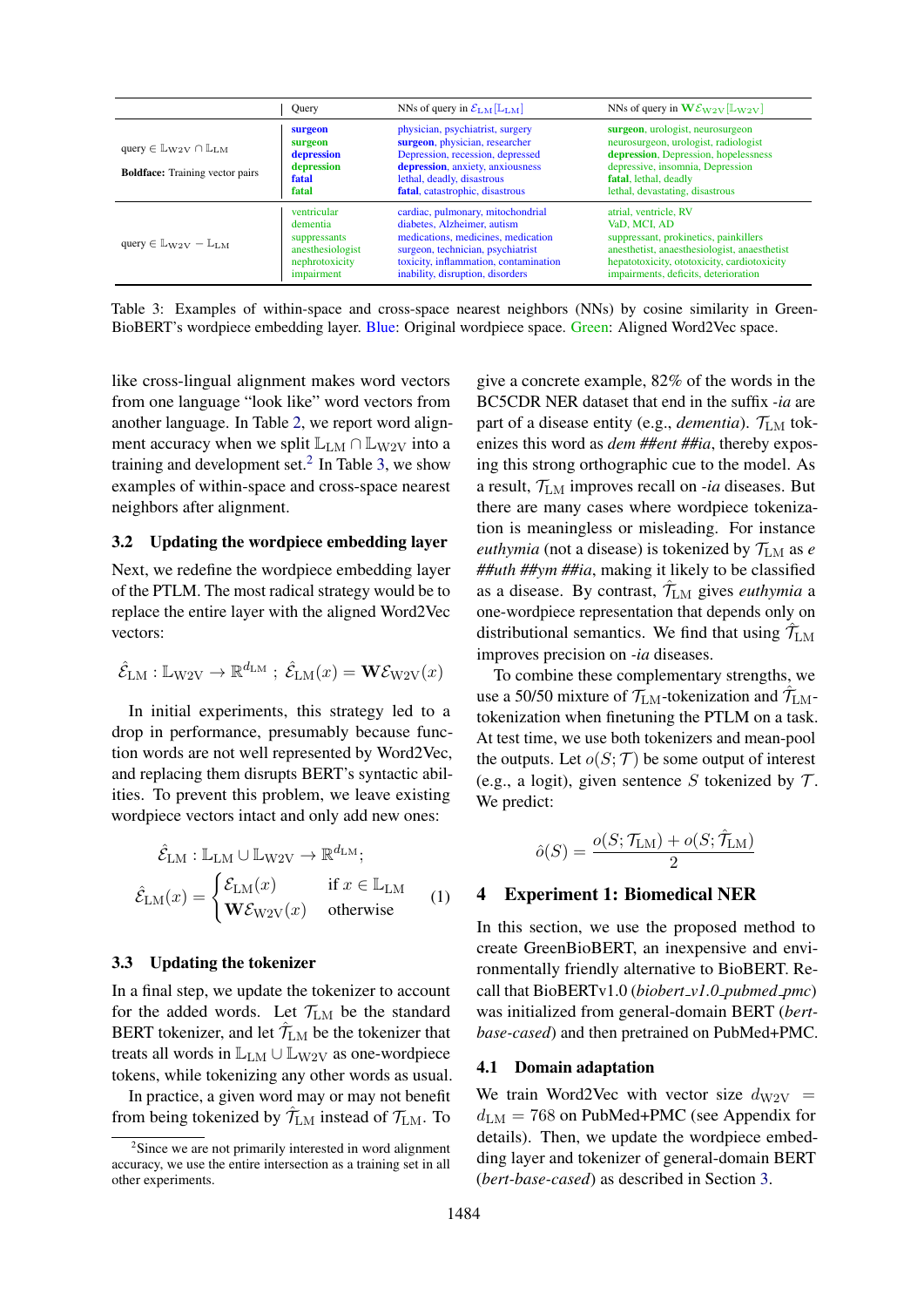<span id="page-2-2"></span>

|                                                                                             | Query                                                                                       | NNs of query in $\mathcal{E}_{LM}[\mathbb{L}_{LM}]$                                                                                                                                                                      | NNs of query in $\mathbf{W}\mathcal{E}_{\mathbf{W2V}}[\mathbb{L}_{\mathbf{W2V}}]$                                                                                                                                     |
|---------------------------------------------------------------------------------------------|---------------------------------------------------------------------------------------------|--------------------------------------------------------------------------------------------------------------------------------------------------------------------------------------------------------------------------|-----------------------------------------------------------------------------------------------------------------------------------------------------------------------------------------------------------------------|
| query $\in \mathbb{L}_{W2V} \cap \mathbb{L}_{LM}$<br><b>Boldface:</b> Training vector pairs | surgeon<br>surgeon<br>depression<br>depression<br>fatal<br>fatal                            | physician, psychiatrist, surgery<br>surgeon, physician, researcher<br>Depression, recession, depressed<br>depression, anxiety, anxiousness<br>lethal, deadly, disastrous<br>fatal, catastrophic, disastrous              | surgeon, urologist, neurosurgeon<br>neurosurgeon, urologist, radiologist<br>depression, Depression, hopelessness<br>depressive, insomnia, Depression<br>fatal, lethal, deadly<br>lethal, devastating, disastrous      |
| query $\in \mathbb{L}_{W2V} - \mathbb{L}_{LM}$                                              | ventricular<br>dementia<br>suppressants<br>anesthesiologist<br>nephrotoxicity<br>impairment | cardiac, pulmonary, mitochondrial<br>diabetes, Alzheimer, autism<br>medications, medicines, medication<br>surgeon, technician, psychiatrist<br>toxicity, inflammation, contamination<br>inability, disruption, disorders | atrial, ventricle, RV<br>VaD, MCI, AD<br>suppressant, prokinetics, painkillers<br>anesthetist, anaesthesiologist, anaesthetist<br>hepatotoxicity, ototoxicity, cardiotoxicity<br>impairments, deficits, deterioration |

Table 3: Examples of within-space and cross-space nearest neighbors (NNs) by cosine similarity in Green-BioBERT's wordpiece embedding layer. Blue: Original wordpiece space. Green: Aligned Word2Vec space.

like cross-lingual alignment makes word vectors from one language "look like" word vectors from another language. In Table [2,](#page-1-1) we report word alignment accuracy when we split  $\mathbb{L}_{LM} \cap \mathbb{L}_{W2V}$  into a training and development set.<sup>[2](#page-2-1)</sup> In Table [3,](#page-2-2) we show examples of within-space and cross-space nearest neighbors after alignment.

## 3.2 Updating the wordpiece embedding layer

Next, we redefine the wordpiece embedding layer of the PTLM. The most radical strategy would be to replace the entire layer with the aligned Word2Vec vectors:

$$
\hat{\mathcal{E}}_{\text{LM}} : \mathbb{L}_{\text{W2V}} \to \mathbb{R}^{d_{\text{LM}}} \; ; \; \hat{\mathcal{E}}_{\text{LM}}(x) = \mathbf{W} \mathcal{E}_{\text{W2V}}(x)
$$

In initial experiments, this strategy led to a drop in performance, presumably because function words are not well represented by Word2Vec, and replacing them disrupts BERT's syntactic abilities. To prevent this problem, we leave existing wordpiece vectors intact and only add new ones:

$$
\hat{\mathcal{E}}_{LM} : \mathbb{L}_{LM} \cup \mathbb{L}_{W2V} \to \mathbb{R}^{d_{LM}}; \n\hat{\mathcal{E}}_{LM}(x) = \begin{cases}\n\mathcal{E}_{LM}(x) & \text{if } x \in \mathbb{L}_{LM} \\
\mathbf{W}\mathcal{E}_{W2V}(x) & \text{otherwise}\n\end{cases}
$$
\n(1)

### 3.3 Updating the tokenizer

In a final step, we update the tokenizer to account for the added words. Let  $\mathcal{T}_{LM}$  be the standard BERT tokenizer, and let  $\hat{\mathcal{T}}_{LM}$  be the tokenizer that treats all words in  $\mathbb{L}_{LM} \cup \mathbb{L}_{W2V}$  as one-wordpiece tokens, while tokenizing any other words as usual.

In practice, a given word may or may not benefit from being tokenized by  $\hat{\mathcal{T}}_{LM}$  instead of  $\mathcal{T}_{LM}$ . To

give a concrete example, 82% of the words in the BC5CDR NER dataset that end in the suffix *-ia* are part of a disease entity (e.g., *dementia*).  $\mathcal{T}_{LM}$  tokenizes this word as *dem ##ent ##ia*, thereby exposing this strong orthographic cue to the model. As a result,  $T_{LM}$  improves recall on *-ia* diseases. But there are many cases where wordpiece tokenization is meaningless or misleading. For instance *euthymia* (not a disease) is tokenized by  $\mathcal{T}_{LM}$  as *e ##uth ##ym ##ia*, making it likely to be classified as a disease. By contrast,  $\hat{\mathcal{T}}_{LM}$  gives *euthymia* a one-wordpiece representation that depends only on distributional semantics. We find that using  $\hat{\mathcal{T}}_{\text{LM}}$ improves precision on *-ia* diseases.

To combine these complementary strengths, we use a 50/50 mixture of  $\mathcal{T}_{LM}$ -tokenization and  $\hat{\mathcal{T}}_{LM}$ tokenization when finetuning the PTLM on a task. At test time, we use both tokenizers and mean-pool the outputs. Let  $o(S; \mathcal{T})$  be some output of interest (e.g., a logit), given sentence S tokenized by  $\mathcal{T}$ . We predict:

$$
\hat{o}(S) = \frac{o(S; \mathcal{T}_{\text{LM}}) + o(S; \hat{\mathcal{T}}_{\text{LM}})}{2}
$$

#### <span id="page-2-3"></span><span id="page-2-0"></span>4 Experiment 1: Biomedical NER

In this section, we use the proposed method to create GreenBioBERT, an inexpensive and environmentally friendly alternative to BioBERT. Recall that BioBERTv1.0 (*biobert v1.0 pubmed pmc*) was initialized from general-domain BERT (*bertbase-cased*) and then pretrained on PubMed+PMC.

#### 4.1 Domain adaptation

We train Word2Vec with vector size  $d_{\rm W2V}$  =  $d_{LM}$  = 768 on PubMed+PMC (see Appendix for details). Then, we update the wordpiece embedding layer and tokenizer of general-domain BERT (*bert-base-cased*) as described in Section [3.](#page-1-2)

<span id="page-2-1"></span><sup>&</sup>lt;sup>2</sup>Since we are not primarily interested in word alignment accuracy, we use the entire intersection as a training set in all other experiments.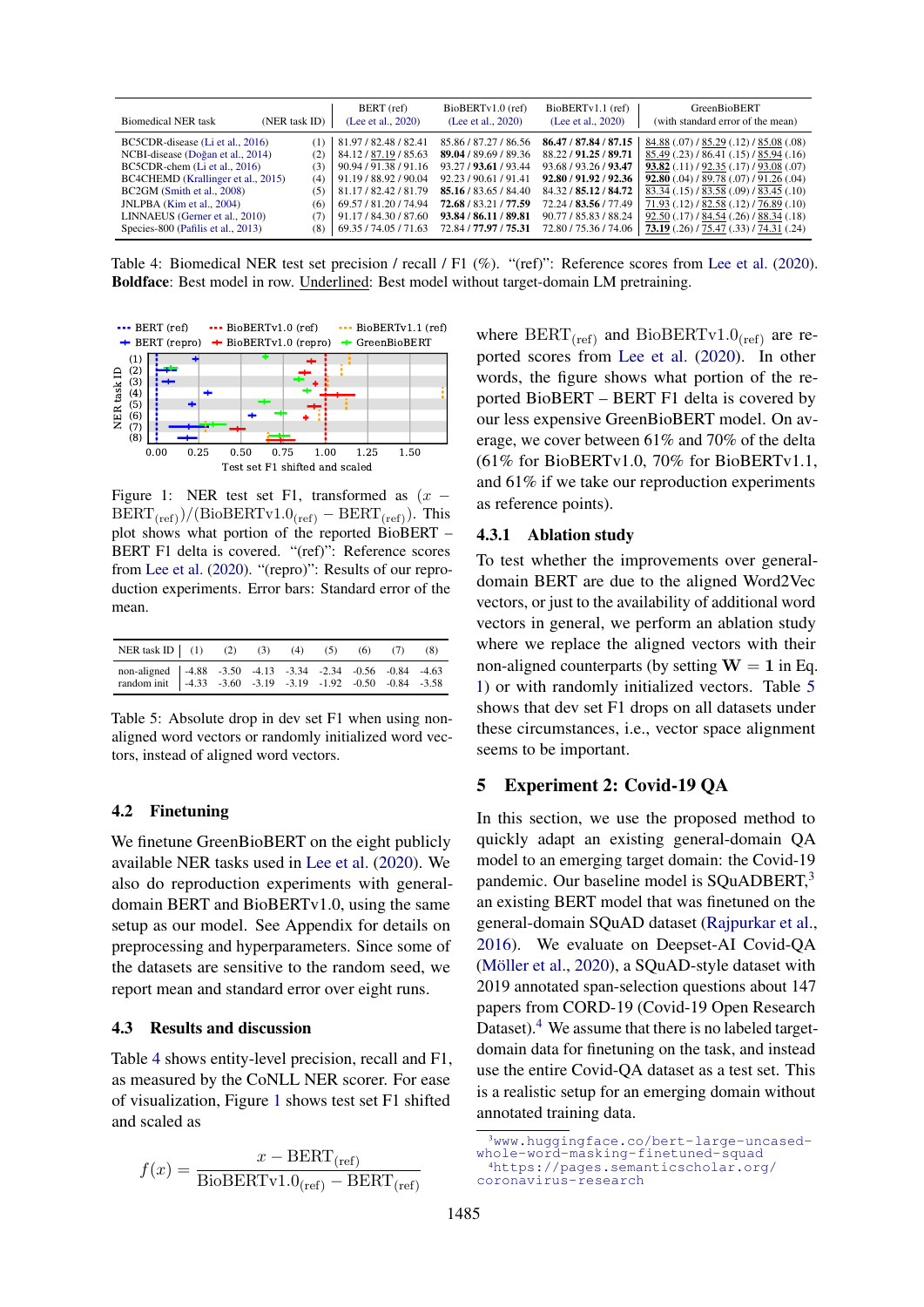<span id="page-3-1"></span>

| <b>Biomedical NER task</b>         | (NER task ID) | BERT (ref)<br>(Lee et al., 2020) | BioBERTv1.0 (ref)<br>(Lee et al., 2020) | $BiOBERTv1.1$ (ref)<br>(Lee et al., 2020) | GreenBioBERT<br>(with standard error of the mean)    |
|------------------------------------|---------------|----------------------------------|-----------------------------------------|-------------------------------------------|------------------------------------------------------|
| BC5CDR-disease (Li et al., 2016)   | (1)           | 81.97 / 82.48 / 82.41            | 85.86 / 87.27 / 86.56                   | 86.47 / 87.84 / 87.15                     | 84.88 (.07) / 85.29 (.12) / 85.08 (.08)              |
| NCBI-disease (Doğan et al., 2014)  | (2)           | 84.12/87.19/85.63                | 89.04 / 89.69 / 89.36                   | 88.22 / 91.25 / 89.71                     | 85.49 (.23) / 86.41 (.15) / 85.94 (.16)              |
| BC5CDR-chem (Li et al., 2016)      | (3)           | 90.94 / 91.38 / 91.16            | 93.27 / 93.61 / 93.44                   | 93.68 / 93.26 / 93.47                     | <b>93.82</b> (.11) $/$ 92.35 (.17) $/$ 93.08 (.07)   |
| BC4CHEMD (Krallinger et al., 2015) | (4)           | 91.19 / 88.92 / 90.04            | 92.23/90.61/91.41                       | 92.80 / 91.92 / 92.36                     | <b>92.80</b> $(.04)$ / 89.78 $(.07)$ / 91.26 $(.04)$ |
| BC2GM (Smith et al., 2008)         | (5)           | 81.17/82.42/81.79                | 85.16 / 83.65 / 84.40                   | 84.32 / 85.12 / 84.72                     | 83.34 (.15) / 83.58 (.09) / 83.45 (.10)              |
| JNLPBA (Kim et al., 2004)          | (6)           | 69.57 / 81.20 / 74.94            | 72.68 / 83.21 / 77.59                   | 72.24 / 83.56 / 77.49                     | 71.93 (.12) / 82.58 (.12) / 76.89 (.10)              |
| LINNAEUS (Gerner et al., 2010)     |               | 91.17/84.30/87.60                | 93.84 / 86.11 / 89.81                   | 90.77 / 85.83 / 88.24                     | 92.50(.17) / 84.54(.26) / 88.34(.18)                 |
| Species-800 (Pafilis et al., 2013) | (8)           | 69.35/74.05/71.63                | 72.84 / 77.97 / 75.31                   | 72.80 / 75.36 / 74.06                     | 73.19 $(.26)$ / 75.47 $(.33)$ / 74.31 $(.24)$        |

Table 4: Biomedical NER test set precision / recall / F1 (%). "(ref)": Reference scores from [Lee et al.](#page-5-0) [\(2020\)](#page-5-0). Boldface: Best model in row. Underlined: Best model without target-domain LM pretraining.

<span id="page-3-2"></span>

Figure 1: NER test set F1, transformed as  $(x BERT_{(ref)})/(BioBERTv1.0_{(ref)} - BERT_{(ref)})$ . This plot shows what portion of the reported BioBERT – BERT F1 delta is covered. "(ref)": Reference scores from [Lee et al.](#page-5-0) [\(2020\)](#page-5-0). "(repro)": Results of our reproduction experiments. Error bars: Standard error of the mean.

<span id="page-3-3"></span>

| NER task ID   (1) (2) (3) (4) (5) (6) (7) (8)                                                                             |  |  |  |  |
|---------------------------------------------------------------------------------------------------------------------------|--|--|--|--|
| non-aligned 4.88 -3.50 -4.13 -3.34 -2.34 -0.56 -0.84 -4.63<br>random init -4.33 -3.60 -3.19 -3.19 -1.92 -0.50 -0.84 -3.58 |  |  |  |  |

Table 5: Absolute drop in dev set F1 when using nonaligned word vectors or randomly initialized word vectors, instead of aligned word vectors.

#### 4.2 Finetuning

We finetune GreenBioBERT on the eight publicly available NER tasks used in [Lee et al.](#page-5-0) [\(2020\)](#page-5-0). We also do reproduction experiments with generaldomain BERT and BioBERTv1.0, using the same setup as our model. See Appendix for details on preprocessing and hyperparameters. Since some of the datasets are sensitive to the random seed, we report mean and standard error over eight runs.

#### 4.3 Results and discussion

Table [4](#page-3-1) shows entity-level precision, recall and F1, as measured by the CoNLL NER scorer. For ease of visualization, Figure [1](#page-3-2) shows test set F1 shifted and scaled as

$$
f(x) = \frac{x - BERT_{(\text{ref})}}{BioBERTv1.0_{(\text{ref})} - BERT_{(\text{ref})}}
$$

where  $BERT_{(ref)}$  and  $BioBERTv1.0_{(ref)}$  are reported scores from [Lee et al.](#page-5-0) [\(2020\)](#page-5-0). In other words, the figure shows what portion of the reported BioBERT – BERT F1 delta is covered by our less expensive GreenBioBERT model. On average, we cover between 61% and 70% of the delta  $(61\%$  for BioBERTv1.0, 70% for BioBERTv1.1, and 61% if we take our reproduction experiments as reference points).

## 4.3.1 Ablation study

To test whether the improvements over generaldomain BERT are due to the aligned Word2Vec vectors, or just to the availability of additional word vectors in general, we perform an ablation study where we replace the aligned vectors with their non-aligned counterparts (by setting  $W = 1$  in Eq. [1\)](#page-2-3) or with randomly initialized vectors. Table [5](#page-3-3) shows that dev set F1 drops on all datasets under these circumstances, i.e., vector space alignment seems to be important.

#### <span id="page-3-0"></span>5 Experiment 2: Covid-19 QA

In this section, we use the proposed method to quickly adapt an existing general-domain QA model to an emerging target domain: the Covid-19 pandemic. Our baseline model is SQuADBERT,<sup>[3](#page-3-4)</sup> an existing BERT model that was finetuned on the general-domain SQuAD dataset [\(Rajpurkar et al.,](#page-5-10) [2016\)](#page-5-10). We evaluate on Deepset-AI Covid-QA (Möller et al., [2020\)](#page-5-11), a SQuAD-style dataset with 2019 annotated span-selection questions about 147 papers from CORD-19 (Covid-19 Open Research Dataset).<sup>[4](#page-3-5)</sup> We assume that there is no labeled targetdomain data for finetuning on the task, and instead use the entire Covid-QA dataset as a test set. This is a realistic setup for an emerging domain without annotated training data.

<span id="page-3-4"></span><sup>3</sup>[www.huggingface.co/bert-large-uncased](www.huggingface.co/bert-large-uncased-whole-word-masking-finetuned-squad)[whole-word-masking-finetuned-squad](www.huggingface.co/bert-large-uncased-whole-word-masking-finetuned-squad) <sup>4</sup>[https://pages.semanticscholar.org/](https://pages.semanticscholar.org/coronavirus-research)

<span id="page-3-5"></span>[coronavirus-research](https://pages.semanticscholar.org/coronavirus-research)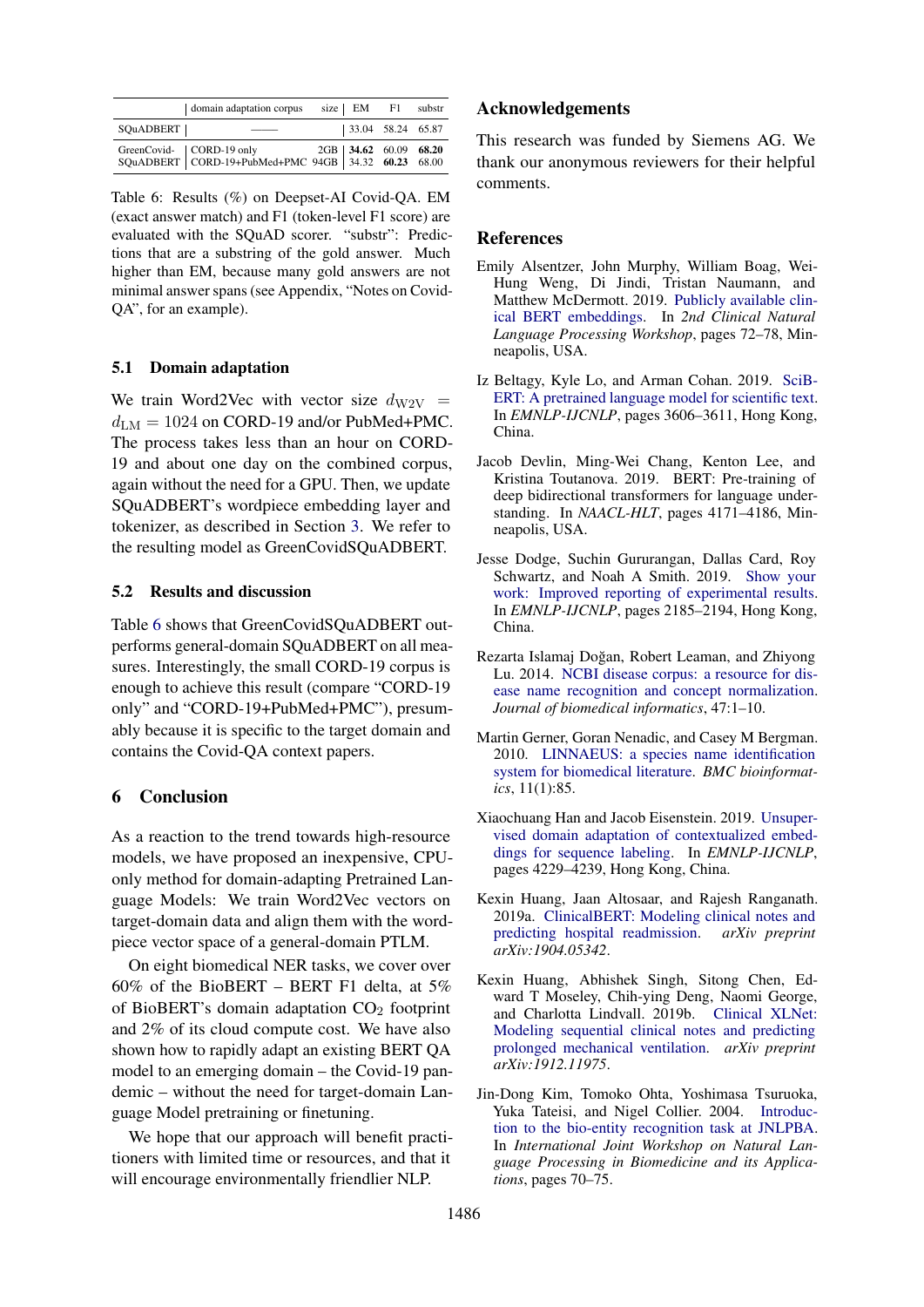<span id="page-4-9"></span>

|           | domain adaptation corpus                                                                              | size $EM$ F1               | substr |
|-----------|-------------------------------------------------------------------------------------------------------|----------------------------|--------|
| SQuADBERT |                                                                                                       | $ 33.04 \t 58.24 \t 65.87$ |        |
|           | GreenCovid- CORD-19 only 2GB 34.62 60.09 68.20<br>SQuADBERT CORD-19+PubMed+PMC 94GB 34.32 60.23 68.00 |                            |        |

Table 6: Results (%) on Deepset-AI Covid-QA. EM (exact answer match) and F1 (token-level F1 score) are evaluated with the SQuAD scorer. "substr": Predictions that are a substring of the gold answer. Much higher than EM, because many gold answers are not minimal answer spans (see Appendix, "Notes on Covid-QA", for an example).

#### 5.1 Domain adaptation

We train Word2Vec with vector size  $d_{\text{W2V}} =$  $d_{LM} = 1024$  on CORD-19 and/or PubMed+PMC. The process takes less than an hour on CORD-19 and about one day on the combined corpus, again without the need for a GPU. Then, we update SQuADBERT's wordpiece embedding layer and tokenizer, as described in Section [3.](#page-1-2) We refer to the resulting model as GreenCovidSQuADBERT.

#### 5.2 Results and discussion

Table [6](#page-4-9) shows that GreenCovidSQuADBERT outperforms general-domain SQuADBERT on all measures. Interestingly, the small CORD-19 corpus is enough to achieve this result (compare "CORD-19 only" and "CORD-19+PubMed+PMC"), presumably because it is specific to the target domain and contains the Covid-QA context papers.

## 6 Conclusion

As a reaction to the trend towards high-resource models, we have proposed an inexpensive, CPUonly method for domain-adapting Pretrained Language Models: We train Word2Vec vectors on target-domain data and align them with the wordpiece vector space of a general-domain PTLM.

On eight biomedical NER tasks, we cover over 60% of the BioBERT – BERT F1 delta, at  $5\%$ of BioBERT's domain adaptation  $CO<sub>2</sub>$  footprint and 2% of its cloud compute cost. We have also shown how to rapidly adapt an existing BERT QA model to an emerging domain – the Covid-19 pandemic – without the need for target-domain Language Model pretraining or finetuning.

We hope that our approach will benefit practitioners with limited time or resources, and that it will encourage environmentally friendlier NLP.

## Acknowledgements

This research was funded by Siemens AG. We thank our anonymous reviewers for their helpful comments.

#### References

- <span id="page-4-2"></span>Emily Alsentzer, John Murphy, William Boag, Wei-Hung Weng, Di Jindi, Tristan Naumann, and Matthew McDermott. 2019. [Publicly available clin](https://doi.org/10.18653/v1/w19-1909)[ical BERT embeddings.](https://doi.org/10.18653/v1/w19-1909) In *2nd Clinical Natural Language Processing Workshop*, pages 72–78, Minneapolis, USA.
- <span id="page-4-1"></span>Iz Beltagy, Kyle Lo, and Arman Cohan. 2019. [SciB-](https://doi.org/10.18653/v1/d19-1371)[ERT: A pretrained language model for scientific text.](https://doi.org/10.18653/v1/d19-1371) In *EMNLP-IJCNLP*, pages 3606–3611, Hong Kong, China.
- <span id="page-4-0"></span>Jacob Devlin, Ming-Wei Chang, Kenton Lee, and Kristina Toutanova. 2019. BERT: Pre-training of deep bidirectional transformers for language understanding. In *NAACL-HLT*, pages 4171–4186, Minneapolis, USA.
- <span id="page-4-10"></span>Jesse Dodge, Suchin Gururangan, Dallas Card, Roy Schwartz, and Noah A Smith. 2019. [Show your](https://doi.org/10.18653/v1/d19-1224) [work: Improved reporting of experimental results.](https://doi.org/10.18653/v1/d19-1224) In *EMNLP-IJCNLP*, pages 2185–2194, Hong Kong, China.
- <span id="page-4-6"></span>Rezarta Islamaj Doğan, Robert Leaman, and Zhiyong Lu. 2014. [NCBI disease corpus: a resource for dis](https://doi.org/10.1016/j.jbi.2013.12.006)[ease name recognition and concept normalization.](https://doi.org/10.1016/j.jbi.2013.12.006) *Journal of biomedical informatics*, 47:1–10.
- <span id="page-4-8"></span>Martin Gerner, Goran Nenadic, and Casey M Bergman. 2010. [LINNAEUS: a species name identification](https://doi.org/10.1186/1471-2105-11-85) [system for biomedical literature.](https://doi.org/10.1186/1471-2105-11-85) *BMC bioinformatics*, 11(1):85.
- <span id="page-4-5"></span>Xiaochuang Han and Jacob Eisenstein. 2019. [Unsuper](https://doi.org/10.18653/v1/d19-1433)[vised domain adaptation of contextualized embed](https://doi.org/10.18653/v1/d19-1433)[dings for sequence labeling.](https://doi.org/10.18653/v1/d19-1433) In *EMNLP-IJCNLP*, pages 4229–4239, Hong Kong, China.
- <span id="page-4-3"></span>Kexin Huang, Jaan Altosaar, and Rajesh Ranganath. 2019a. [ClinicalBERT: Modeling clinical notes and](https://arxiv.org/abs/1904.05342) [predicting hospital readmission.](https://arxiv.org/abs/1904.05342) *arXiv preprint arXiv:1904.05342*.
- <span id="page-4-4"></span>Kexin Huang, Abhishek Singh, Sitong Chen, Edward T Moseley, Chih-ying Deng, Naomi George, and Charlotta Lindvall. 2019b. [Clinical XLNet:](https://arxiv.org/pdf/1912.11975) [Modeling sequential clinical notes and predicting](https://arxiv.org/pdf/1912.11975) [prolonged mechanical ventilation.](https://arxiv.org/pdf/1912.11975) *arXiv preprint arXiv:1912.11975*.
- <span id="page-4-7"></span>Jin-Dong Kim, Tomoko Ohta, Yoshimasa Tsuruoka, Yuka Tateisi, and Nigel Collier. 2004. [Introduc](https://doi.org/10.3115/1567594.1567610)[tion to the bio-entity recognition task at JNLPBA.](https://doi.org/10.3115/1567594.1567610) In *International Joint Workshop on Natural Language Processing in Biomedicine and its Applications*, pages 70–75.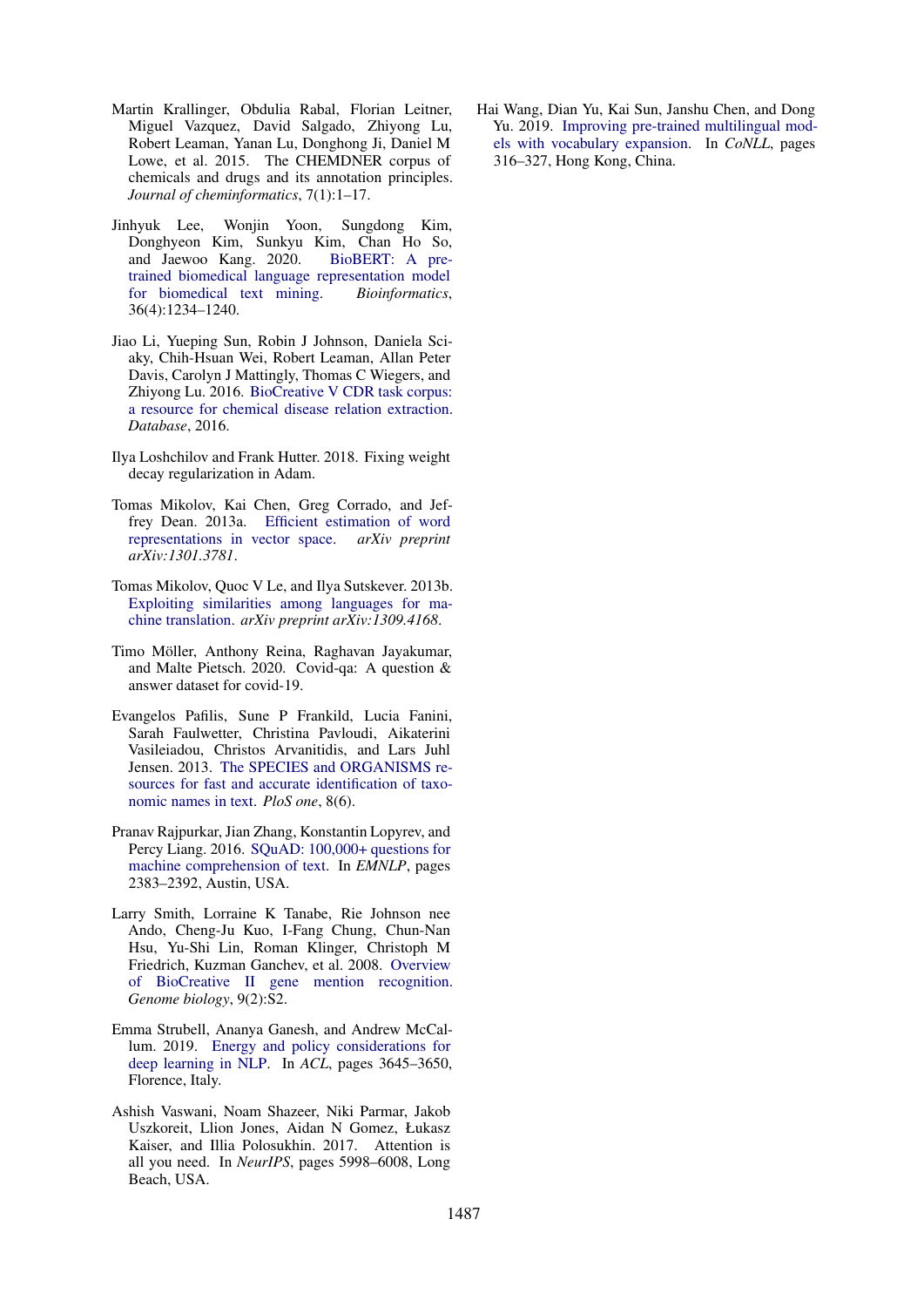- <span id="page-5-7"></span>Martin Krallinger, Obdulia Rabal, Florian Leitner, Miguel Vazquez, David Salgado, Zhiyong Lu, Robert Leaman, Yanan Lu, Donghong Ji, Daniel M Lowe, et al. 2015. The CHEMDNER corpus of chemicals and drugs and its annotation principles. *Journal of cheminformatics*, 7(1):1–17.
- <span id="page-5-0"></span>Jinhyuk Lee, Wonjin Yoon, Sungdong Kim, Donghyeon Kim, Sunkyu Kim, Chan Ho So, and Jaewoo Kang. 2020. [BioBERT: A pre](https://doi.org/10.1093/bioinformatics/btz682)[trained biomedical language representation model](https://doi.org/10.1093/bioinformatics/btz682) [for biomedical text mining.](https://doi.org/10.1093/bioinformatics/btz682) *Bioinformatics*, 36(4):1234–1240.
- <span id="page-5-6"></span>Jiao Li, Yueping Sun, Robin J Johnson, Daniela Sciaky, Chih-Hsuan Wei, Robert Leaman, Allan Peter Davis, Carolyn J Mattingly, Thomas C Wiegers, and Zhiyong Lu. 2016. [BioCreative V CDR task corpus:](https://doi.org/10.1093/database/baw068) [a resource for chemical disease relation extraction.](https://doi.org/10.1093/database/baw068) *Database*, 2016.
- <span id="page-5-12"></span>Ilya Loshchilov and Frank Hutter. 2018. Fixing weight decay regularization in Adam.
- <span id="page-5-1"></span>Tomas Mikolov, Kai Chen, Greg Corrado, and Jeffrey Dean. 2013a. [Efficient estimation of word](https://arxiv.org/abs/1301.3781) [representations in vector space.](https://arxiv.org/abs/1301.3781) *arXiv preprint arXiv:1301.3781*.
- <span id="page-5-4"></span>Tomas Mikolov, Quoc V Le, and Ilya Sutskever. 2013b. [Exploiting similarities among languages for ma](https://arxiv.org/abs/1309.4168)[chine translation.](https://arxiv.org/abs/1309.4168) *arXiv preprint arXiv:1309.4168*.
- <span id="page-5-11"></span>Timo Möller, Anthony Reina, Raghavan Jayakumar, and Malte Pietsch. 2020. Covid-qa: A question & answer dataset for covid-19.
- <span id="page-5-9"></span>Evangelos Pafilis, Sune P Frankild, Lucia Fanini, Sarah Faulwetter, Christina Pavloudi, Aikaterini Vasileiadou, Christos Arvanitidis, and Lars Juhl Jensen. 2013. [The SPECIES and ORGANISMS re](https://doi.org/10.1371/journal.pone.0065390)[sources for fast and accurate identification of taxo](https://doi.org/10.1371/journal.pone.0065390)[nomic names in text.](https://doi.org/10.1371/journal.pone.0065390) *PloS one*, 8(6).
- <span id="page-5-10"></span>Pranav Rajpurkar, Jian Zhang, Konstantin Lopyrev, and Percy Liang. 2016. [SQuAD: 100,000+ questions for](https://doi.org/10.18653/v1/d16-1264) [machine comprehension of text.](https://doi.org/10.18653/v1/d16-1264) In *EMNLP*, pages 2383–2392, Austin, USA.
- <span id="page-5-8"></span>Larry Smith, Lorraine K Tanabe, Rie Johnson nee Ando, Cheng-Ju Kuo, I-Fang Chung, Chun-Nan Hsu, Yu-Shi Lin, Roman Klinger, Christoph M Friedrich, Kuzman Ganchev, et al. 2008. [Overview](https://doi.org/10.1186/gb-2008-9-s2-s2) [of BioCreative II gene mention recognition.](https://doi.org/10.1186/gb-2008-9-s2-s2) *Genome biology*, 9(2):S2.
- <span id="page-5-2"></span>Emma Strubell, Ananya Ganesh, and Andrew McCallum. 2019. [Energy and policy considerations for](https://doi.org/10.18653/v1/p19-1355) [deep learning in NLP.](https://doi.org/10.18653/v1/p19-1355) In *ACL*, pages 3645–3650, Florence, Italy.
- <span id="page-5-3"></span>Ashish Vaswani, Noam Shazeer, Niki Parmar, Jakob Uszkoreit, Llion Jones, Aidan N Gomez, Łukasz Kaiser, and Illia Polosukhin. 2017. Attention is all you need. In *NeurIPS*, pages 5998–6008, Long Beach, USA.

<span id="page-5-5"></span>Hai Wang, Dian Yu, Kai Sun, Janshu Chen, and Dong Yu. 2019. [Improving pre-trained multilingual mod](https://doi.org/10.18653/v1/K19-1030)[els with vocabulary expansion.](https://doi.org/10.18653/v1/K19-1030) In *CoNLL*, pages 316–327, Hong Kong, China.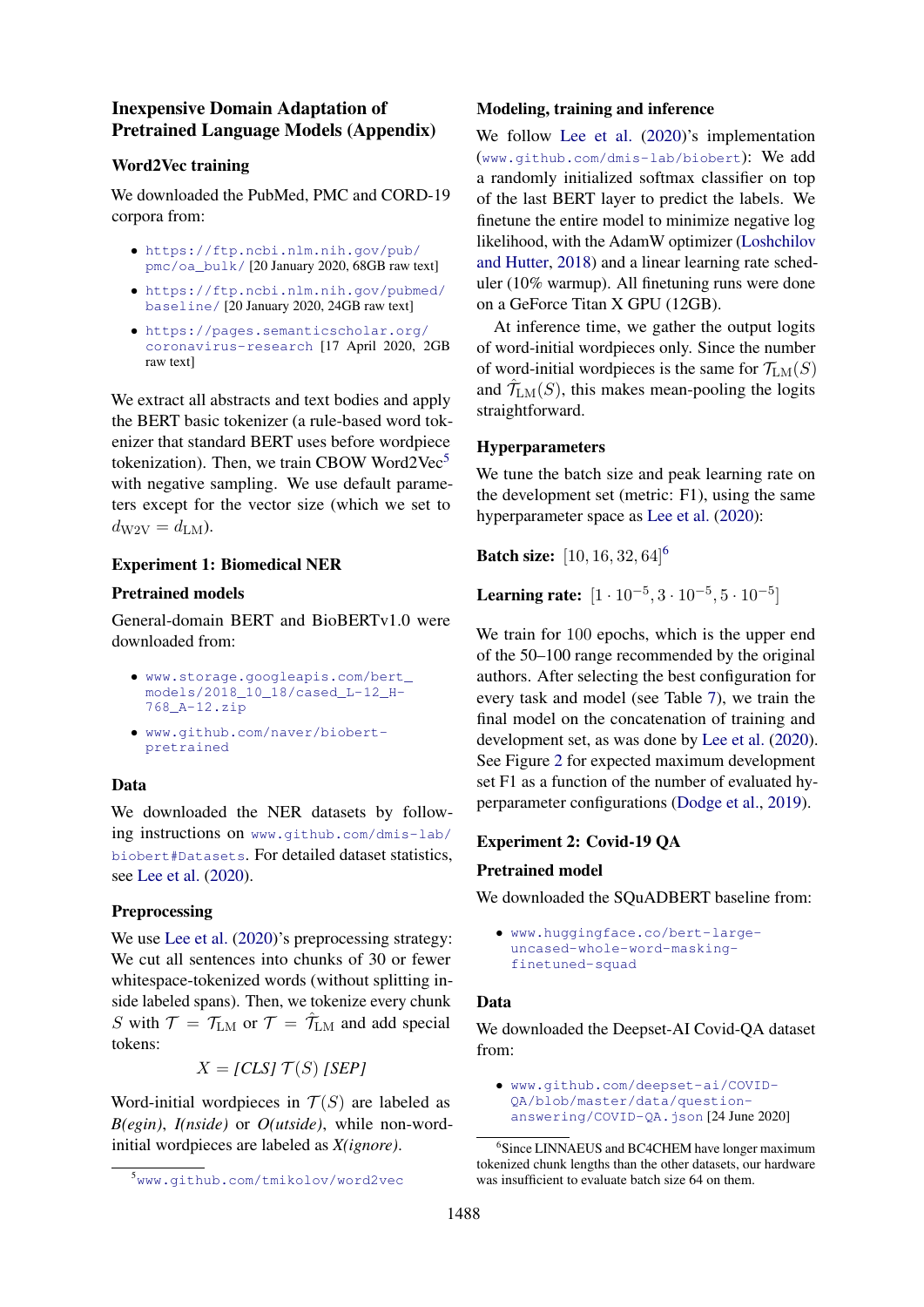# Inexpensive Domain Adaptation of Pretrained Language Models (Appendix)

# Word2Vec training

We downloaded the PubMed, PMC and CORD-19 corpora from:

- [https://ftp.ncbi.nlm.nih.gov/pub/](https://ftp.ncbi.nlm.nih.gov/pub/pmc/oa_bulk/) [pmc/oa\\_bulk/](https://ftp.ncbi.nlm.nih.gov/pub/pmc/oa_bulk/) [20 January 2020, 68GB raw text]
- [https://ftp.ncbi.nlm.nih.gov/pubmed/](https://ftp.ncbi.nlm.nih.gov/pubmed/baseline/) [baseline/](https://ftp.ncbi.nlm.nih.gov/pubmed/baseline/) [20 January 2020, 24GB raw text]
- [https://pages.semanticscholar.org/](https://pages.semanticscholar.org/coronavirus-research) [coronavirus-research](https://pages.semanticscholar.org/coronavirus-research) [17 April 2020, 2GB raw text]

We extract all abstracts and text bodies and apply the BERT basic tokenizer (a rule-based word tokenizer that standard BERT uses before wordpiece tokenization). Then, we train CBOW Word2Vec $5$ with negative sampling. We use default parameters except for the vector size (which we set to  $d_{\rm W2V} = d_{\rm LM}$ ).

# Experiment 1: Biomedical NER

## Pretrained models

General-domain BERT and BioBERTv1.0 were downloaded from:

- [www.storage.googleapis.com/bert\\_](www.storage.googleapis.com/bert_models/2018_10_18/cased_L-12_H-768_A-12.zip) [models/2018\\_10\\_18/cased\\_L-12\\_H-](www.storage.googleapis.com/bert_models/2018_10_18/cased_L-12_H-768_A-12.zip)[768\\_A-12.zip](www.storage.googleapis.com/bert_models/2018_10_18/cased_L-12_H-768_A-12.zip)
- [www.github.com/naver/biobert](www.github.com/naver/biobert-pretrained)[pretrained](www.github.com/naver/biobert-pretrained)

# Data

We downloaded the NER datasets by following instructions on [www.github.com/dmis-lab/](www.github.com/dmis-lab/biobert#Datasets) [biobert#Datasets](www.github.com/dmis-lab/biobert#Datasets). For detailed dataset statistics, see [Lee et al.](#page-5-0) [\(2020\)](#page-5-0).

# Preprocessing

We use [Lee et al.](#page-5-0)  $(2020)$ 's preprocessing strategy: We cut all sentences into chunks of 30 or fewer whitespace-tokenized words (without splitting inside labeled spans). Then, we tokenize every chunk S with  $T = T_{LM}$  or  $T = \hat{T}_{LM}$  and add special tokens:

 $X = [CLS] T(S) [SEP]$ 

Word-initial wordpieces in  $T(S)$  are labeled as *B(egin)*, *I(nside)* or *O(utside)*, while non-wordinitial wordpieces are labeled as *X(ignore)*.

## Modeling, training and inference

We follow [Lee et al.](#page-5-0) [\(2020\)](#page-5-0)'s implementation (<www.github.com/dmis-lab/biobert>): We add a randomly initialized softmax classifier on top of the last BERT layer to predict the labels. We finetune the entire model to minimize negative log likelihood, with the AdamW optimizer [\(Loshchilov](#page-5-12) [and Hutter,](#page-5-12) [2018\)](#page-5-12) and a linear learning rate scheduler (10% warmup). All finetuning runs were done on a GeForce Titan X GPU (12GB).

At inference time, we gather the output logits of word-initial wordpieces only. Since the number of word-initial wordpieces is the same for  $\mathcal{T}_{LM}(S)$ and  $\hat{\mathcal{T}}_{LM}(S)$ , this makes mean-pooling the logits straightforward.

# Hyperparameters

We tune the batch size and peak learning rate on the development set (metric: F1), using the same hyperparameter space as [Lee et al.](#page-5-0) [\(2020\)](#page-5-0):

**Batch size:** [10, 1[6](#page-6-1), 32, 64]<sup>6</sup>

Learning rate:  $[1 \cdot 10^{-5}, 3 \cdot 10^{-5}, 5 \cdot 10^{-5}]$ 

We train for 100 epochs, which is the upper end of the 50–100 range recommended by the original authors. After selecting the best configuration for every task and model (see Table [7\)](#page-0-2), we train the final model on the concatenation of training and development set, as was done by [Lee et al.](#page-5-0) [\(2020\)](#page-5-0). See Figure [2](#page-0-2) for expected maximum development set F1 as a function of the number of evaluated hyperparameter configurations [\(Dodge et al.,](#page-4-10) [2019\)](#page-4-10).

## Experiment 2: Covid-19 QA

## Pretrained model

We downloaded the SOuADBERT baseline from:

• [www.huggingface.co/bert-large](www.huggingface.co/bert-large-uncased-whole-word-masking-finetuned-squad)[uncased-whole-word-masking](www.huggingface.co/bert-large-uncased-whole-word-masking-finetuned-squad)[finetuned-squad](www.huggingface.co/bert-large-uncased-whole-word-masking-finetuned-squad)

## Data

We downloaded the Deepset-AI Covid-QA dataset from:

<span id="page-6-0"></span><sup>5</sup><www.github.com/tmikolov/word2vec>

<sup>•</sup> [www.github.com/deepset-ai/COVID-](www.github.com/deepset-ai/COVID-QA/blob/master/data/question-answering/COVID-QA.json)[QA/blob/master/data/question](www.github.com/deepset-ai/COVID-QA/blob/master/data/question-answering/COVID-QA.json)[answering/COVID-QA.json](www.github.com/deepset-ai/COVID-QA/blob/master/data/question-answering/COVID-QA.json) [24 June 2020]

<span id="page-6-1"></span><sup>6</sup> Since LINNAEUS and BC4CHEM have longer maximum tokenized chunk lengths than the other datasets, our hardware was insufficient to evaluate batch size 64 on them.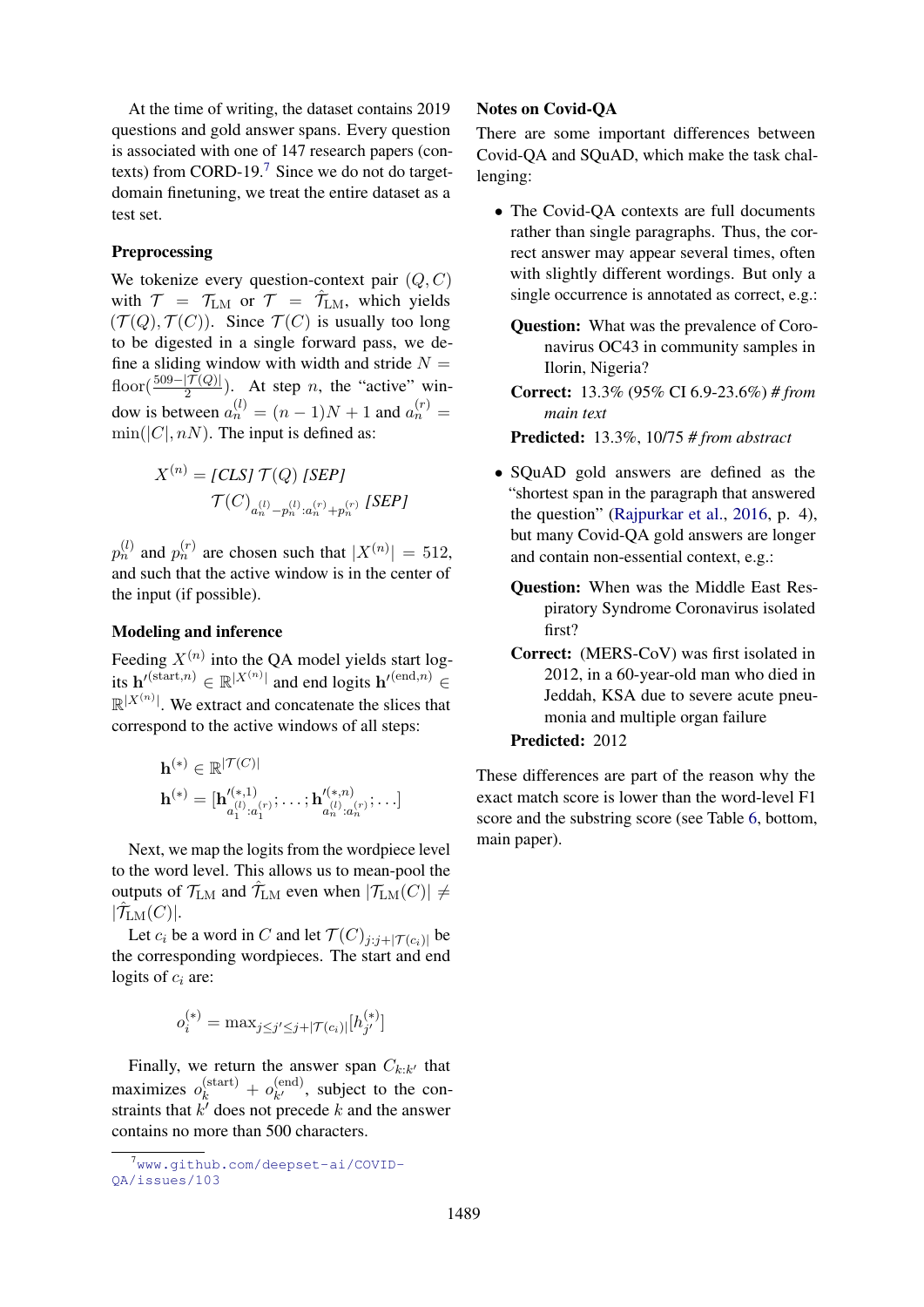At the time of writing, the dataset contains 2019 questions and gold answer spans. Every question is associated with one of 147 research papers (contexts) from CORD-19.[7](#page-7-0) Since we do not do targetdomain finetuning, we treat the entire dataset as a test set.

## Preprocessing

We tokenize every question-context pair  $(Q, C)$ with  $T = T_{LM}$  or  $T = \hat{T}_{LM}$ , which yields  $(\mathcal{T}(Q), \mathcal{T}(C))$ . Since  $\mathcal{T}(C)$  is usually too long to be digested in a single forward pass, we define a sliding window with width and stride  $N =$ floor( $\frac{509 - |{\mathcal{T}}(Q)|}{2}$ ). At step *n*, the "active" window is between  $a_n^{(l)} = (n-1)N + 1$  and  $a_n^{(r)} =$  $\min(|C|, nN)$ . The input is defined as:

$$
X^{(n)} = [CLS] \mathcal{T}(Q) [SEP]
$$

$$
\mathcal{T}(C)_{a_n^{(l)} - p_n^{(l)} : a_n^{(r)} + p_n^{(r)}} [SEP]
$$

 $p_n^{(l)}$  and  $p_n^{(r)}$  are chosen such that  $|X^{(n)}| = 512$ , and such that the active window is in the center of the input (if possible).

# Modeling and inference

Feeding  $X^{(n)}$  into the QA model yields start logits  $\mathbf{h}'^{(\text{start},n)} \in \mathbb{R}^{|X^{(n)}|}$  and end logits  $\mathbf{h}'^{(\text{end},n)} \in$  $\mathbb{R}^{|X^{(n)}|}$ . We extract and concatenate the slices that correspond to the active windows of all steps:

$$
\mathbf{h}^{(*)} \in \mathbb{R}^{|\mathcal{T}(C)|} \\ \mathbf{h}^{(*)} = [\mathbf{h}'^{(*,1)}_{a_1^{(l)}:a_1^{(r)}}; \dots; \mathbf{h}'^{(*,n)}_{a_n^{(l)}:a_n^{(r)}}; \dots]
$$

Next, we map the logits from the wordpiece level to the word level. This allows us to mean-pool the outputs of  $\mathcal{T}_{LM}$  and  $\hat{\mathcal{T}}_{LM}$  even when  $|\mathcal{T}_{LM}(C)| \neq$  $|\hat{\mathcal{T}}_{\text{LM}}(C)|.$ 

Let  $c_i$  be a word in C and let  $\mathcal{T}(C)_{j:j+|\mathcal{T}(c_i)|}$  be the corresponding wordpieces. The start and end logits of  $c_i$  are:

$$
o_i^{(*)} = \max_{j \le j' \le j + |\mathcal{T}(c_i)|} [h_{j'}^{(*)}]
$$

Finally, we return the answer span  $C_{k:k'}$  that maximizes  $o_k^{\text{(start)}} + o_{k'}^{\text{(end)}}$  $k^{(enq)}$ , subject to the constraints that  $k'$  does not precede k and the answer contains no more than 500 characters.

# Notes on Covid-QA

There are some important differences between Covid-QA and SQuAD, which make the task challenging:

• The Covid-QA contexts are full documents rather than single paragraphs. Thus, the correct answer may appear several times, often with slightly different wordings. But only a single occurrence is annotated as correct, e.g.:

Question: What was the prevalence of Coronavirus OC43 in community samples in Ilorin, Nigeria?

Correct: 13.3% (95% CI 6.9-23.6%) *# from main text*

Predicted: 13.3%, 10/75 *# from abstract*

- SQuAD gold answers are defined as the "shortest span in the paragraph that answered the question" [\(Rajpurkar et al.,](#page-5-10) [2016,](#page-5-10) p. 4), but many Covid-QA gold answers are longer and contain non-essential context, e.g.:
	- Question: When was the Middle East Respiratory Syndrome Coronavirus isolated first?
	- Correct: (MERS-CoV) was first isolated in 2012, in a 60-year-old man who died in Jeddah, KSA due to severe acute pneumonia and multiple organ failure Predicted: 2012

These differences are part of the reason why the exact match score is lower than the word-level F1 score and the substring score (see Table [6,](#page-4-9) bottom, main paper).

<span id="page-7-0"></span><sup>&</sup>lt;sup>7</sup>www.qithub.com/deepset-ai/COVID-[QA/issues/103](www.github.com/deepset-ai/COVID-QA/issues/103)